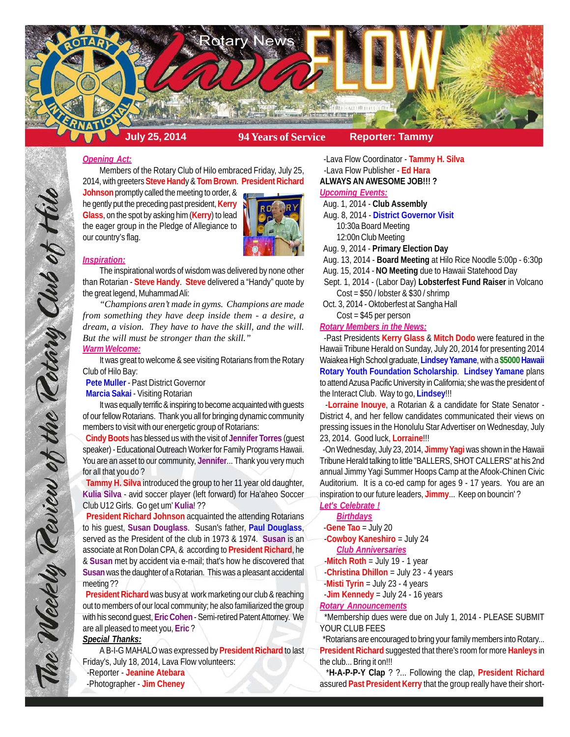

#### *Opening Act:*

Members of the Rotary Club of Hilo embraced Friday, July 25, 2014, with greeters **Steve Hand**y & **Tom Brown**. **President Richard**

**Johnson** promptly called the meeting to order, & he gently put the preceding past president, **Kerry Glass**, on the spot by asking him (**Kerry**) to lead the eager group in the Pledge of Allegiance to our country's flag.



#### *Inspiration:*

The inspirational words of wisdom was delivered by none other than Rotarian - **Steve Handy**. **Steve** delivered a "Handy" quote by the great legend, Muhammad Ali:

*"Champions aren't made in gyms. Champions are made from something they have deep inside them - a desire, a dream, a vision. They have to have the skill, and the will. But the will must be stronger than the skill."*

# *Warm Welcome:*

It was great to welcome & see visiting Rotarians from the Rotary Club of Hilo Bay:

 **Pete Muller** - Past District Governor

 **Marcia Sakai** - Visiting Rotarian

It was equally terrific & inspiring to become acquainted with guests of our fellow Rotarians. Thank you all for bringing dynamic community members to visit with our energetic group of Rotarians:

 **Cindy Boots** has blessed us with the visit of **Jennifer Torres** (guest speaker) - Educational Outreach Worker for Family Programs Hawaii. You are an asset to our community, **Jennifer**... Thank you very much for all that you do ?

 **Tammy H. Silva** introduced the group to her 11 year old daughter, **Kulia Silva** - avid soccer player (left forward) for Ha'aheo Soccer Club U12 Girls. Go get um' **Kulia**! ??

 **President Richard Johnson** acquainted the attending Rotarians to his guest, **Susan Douglass**. Susan's father, **Paul Douglass**, served as the President of the club in 1973 & 1974. **Susan** is an associate at Ron Dolan CPA, & according to **President Richard**, he & **Susan** met by accident via e-mail; that's how he discovered that **Susan** was the daughter of a Rotarian. This was a pleasant accidental meeting ??

 **President Richard** was busy at work marketing our club & reaching out to members of our local community; he also familiarized the group with his second guest, **Eric Cohen** - Semi-retired Patent Attorney. We are all pleased to meet you, **Eric** ?

# *Special Thanks:*

A B-I-G MAHALO was expressed by **President Richard** to last Friday's, July 18, 2014, Lava Flow volunteers: -Reporter - **Jeanine Atebara** -Photographer - **Jim Cheney**

 -Lava Flow Coordinator - **Tammy H. Silva** -Lava Flow Publisher - **Ed Hara**

**ALWAYS AN AWESOME JOB!!! ?**

# *Upcoming Events:*

Aug. 1, 2014 - **Club Assembly**

Aug. 8, 2014 - **District Governor Visit**

10:30a Board Meeting

12:00n Club Meeting

Aug. 9, 2014 - **Primary Election Day**

Aug. 13, 2014 - **Board Meeting** at Hilo Rice Noodle 5:00p - 6:30p

Aug. 15, 2014 - **NO Meeting** due to Hawaii Statehood Day

 Sept. 1, 2014 - (Labor Day) **Lobsterfest Fund Raiser** in Volcano Cost = \$50 / lobster & \$30 / shrimp

 Oct. 3, 2014 - Oktoberfest at Sangha Hall Cost = \$45 per person

*Rotary Members in the News:*

 -Past Presidents **Kerry Glass** & **Mitch Dodo** were featured in the Hawaii Tribune Herald on Sunday, July 20, 2014 for presenting 2014 Waiakea High School graduate, **Lindsey Yamane**, with a **\$5000Hawaii Rotary Youth Foundation Scholarship**. **Lindsey Yamane** plans to attend Azusa Pacific University in California; she was the president of

the Interact Club. Way to go, **Lindsey**!!! -**Lorraine Inouye**, a Rotarian & a candidate for State Senator - District 4, and her fellow candidates communicated their views on pressing issues in the Honolulu Star Advertiser on Wednesday, July 23, 2014. Good luck, **Lorraine**!!!

 -On Wednesday, July 23, 2014, **Jimmy Yagi** was shown in the Hawaii Tribune Herald talking to little "BALLERS, SHOT CALLERS" at his 2nd annual Jimmy Yagi Summer Hoops Camp at the Afook-Chinen Civic Auditorium. It is a co-ed camp for ages 9 - 17 years. You are an inspiration to our future leaders, **Jimmy**... Keep on bouncin' ?

*Let's Celebrate !*

*Birthdays* -**Gene Tao** = July 20

-**Cowboy Kaneshiro** = July 24

*Club Anniversaries*

-**Mitch Roth** = July 19 - 1 year

-**Christina Dhillon** = July 23 - 4 years

-**Misti Tyrin** = July 23 - 4 years

-**Jim Kennedy** = July 24 - 16 years

*Rotary Announcements*

 \*Membership dues were due on July 1, 2014 - PLEASE SUBMIT YOUR CLUB FEES

 \*Rotarians are encouraged to bring your family members into Rotary... **President Richard** suggested that there's room for more **Hanleys** in the club... Bring it on!!!

 \***H-A-P-P-Y Clap** ? ?... Following the clap, **President Richard** assured **Past President Kerry** that the group really have their short-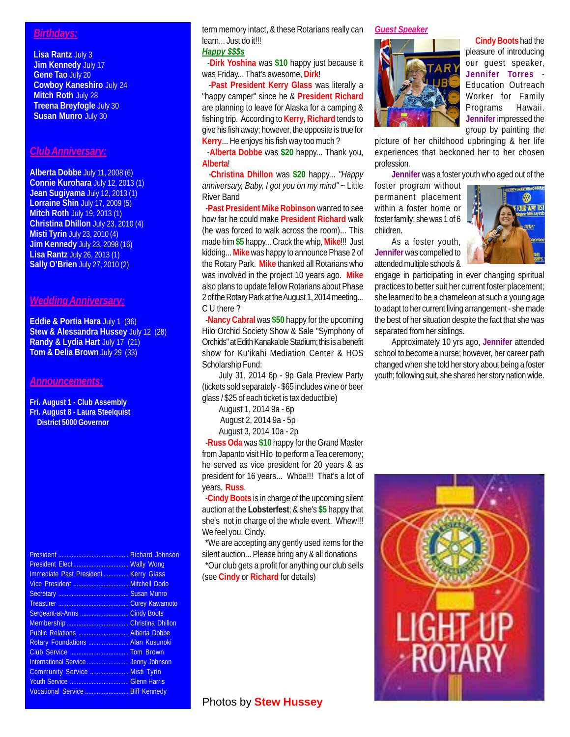# *Birthdays:*

**Lisa Rantz** July 3 **Jim Kennedy** July 17 **Gene Tao** July 20 **Cowboy Kaneshiro** July 24 **Mitch Roth** July 28 **Treena Breyfogle** July 30 **Susan Munro** July 30

# *Club Anniversary:*

**Alberta Dobbe** July 11, 2008 (6) **Connie Kurohara** July 12, 2013 (1) **Jean Sugiyama** July 12, 2013 (1) **Lorraine Shin** July 17, 2009 (5) **Mitch Roth** July 19, 2013 (1) **Christina Dhillon** July 23, 2010 (4) **Misti Tyrin** July 23, 2010 (4) **Jim Kennedy** July 23, 2098 (16) **Lisa Rantz** July 26, 2013 (1) **Sally O'Brien** July 27, 2010 (2)

### *Wedding Anniversary:*

**Eddie & Portia Hara** July 1 (36) **Stew & Alessandra Hussey** July 12 (28) **Randy & Lydia Hart** July 17 (21) **Tom & Delia Brown** July 29 (33)

#### *Announcements:*

**Fri. August 1 - Club Assembly Fri. August 8 - Laura Steelquist**

**District 5000 Governor**

|                                      | <b>Richard Johnson</b> |
|--------------------------------------|------------------------|
|                                      |                        |
| Immediate Past President Kerry Glass |                        |
|                                      |                        |
|                                      |                        |
|                                      |                        |
| Sergeant-at-Arms  Cindy Boots        |                        |
|                                      |                        |
| Public Relations  Alberta Dobbe      |                        |
| Rotary Foundations  Alan Kusunoki    |                        |
|                                      |                        |
| International Service  Jenny Johnson |                        |
| Community Service  Misti Tyrin       |                        |
|                                      |                        |
| Vocational Service  Biff Kennedy     |                        |

term memory intact, & these Rotarians really can learn... Just do it!!!

### *Happy \$\$\$s*

 -**Dirk Yoshina** was **\$10** happy just because it was Friday... That's awesome, **Dirk**!

 -**Past President Kerry Glass** was literally a "happy camper" since he & **President Richard** are planning to leave for Alaska for a camping & fishing trip. According to **Kerry**, **Richard** tends to give his fish away; however, the opposite is true for **Kerry**... He enjoys his fish way too much ?

 -**Alberta Dobbe** was **\$20** happy... Thank you, **Alberta**!

 -**Christina Dhillon** was **\$20** happy... *"Happy anniversary, Baby, I got you on my mind"* ~ Little River Band

 -**Past President Mike Robinson** wanted to see how far he could make **President Richard** walk (he was forced to walk across the room)... This made him **\$5** happy... Crack the whip, **Mike**!!! Just kidding... **Mike** was happy to announce Phase 2 of the Rotary Park. **Mike** thanked all Rotarians who was involved in the project 10 years ago. **Mike** also plans to update fellow Rotarians about Phase 2 of the Rotary Park at the August 1, 2014 meeting... C U there ?

 -**Nancy Cabral** was **\$50** happy for the upcoming Hilo Orchid Society Show & Sale "Symphony of Orchids" at Edith Kanaka'ole Stadium; this is a benefit show for Ku'ikahi Mediation Center & HOS Scholarship Fund:

July 31, 2014 6p - 9p Gala Preview Party (tickets sold separately - \$65 includes wine or beer glass / \$25 of each ticket is tax deductible)

> August 1, 2014 9a - 6p August 2, 2014 9a - 5p August 3, 2014 10a - 2p

 -**Russ Oda** was **\$10** happy for the Grand Master from Japanto visit Hilo to perform a Tea ceremony; he served as vice president for 20 years & as president for 16 years... Whoa!!! That's a lot of years, **Russ**.

 -**Cindy Boots** is in charge of the upcoming silent auction at the **Lobsterfest**; & she's **\$5** happy that she's not in charge of the whole event. Whew!!! We feel you, Cindy.

 \*We are accepting any gently used items for the silent auction... Please bring any & all donations \*Our club gets a profit for anything our club sells (see **Cindy** or **Richard** for details)

# *Guest Speaker*



**Cindy Boots** had the pleasure of introducing our guest speaker, **Jennifer Torres** - Education Outreach Worker for Family Programs Hawaii. **Jennifer** impressed the group by painting the

picture of her childhood upbringing & her life experiences that beckoned her to her chosen profession.

**Jennifer** was a foster youth who aged out of the

foster program without permanent placement within a foster home or foster family; she was 1 of 6 children.

As a foster youth, **Jennifer** was compelled to attended multiple schools &



engage in participating in ever changing spiritual practices to better suit her current foster placement; she learned to be a chameleon at such a young age to adapt to her current living arrangement - she made the best of her situation despite the fact that she was separated from her siblings.

Approximately 10 yrs ago, **Jennifer** attended school to become a nurse; however, her career path changed when she told her story about being a foster youth; following suit, she shared her story nation wide.



# Photos by **Stew Hussey**